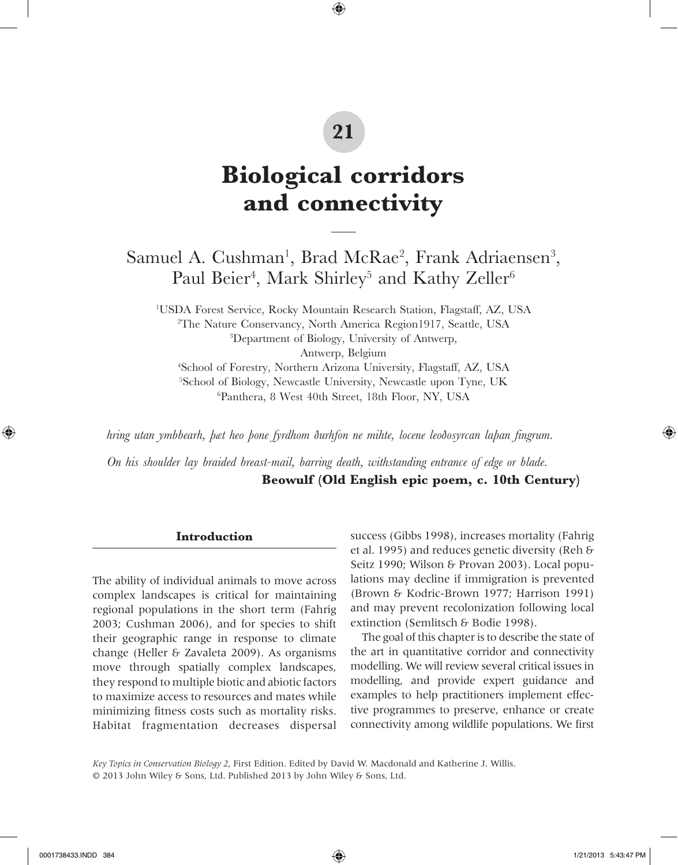# **21**

# **Biological corridors and connectivity**

# Samuel A. Cushman<sup>1</sup>, Brad McRae<sup>2</sup>, Frank Adriaensen<sup>3</sup>, Paul Beier<sup>4</sup>, Mark Shirley<sup>5</sup> and Kathy Zeller<sup>6</sup>

 USDA Forest Service, Rocky Mountain Research Station, Flagstaff, AZ, USA The Nature Conservancy, North America Region1917, Seattle, USA Department of Biology, University of Antwerp, Antwerp, Belgium School of Forestry, Northern Arizona University, Flagstaff, AZ, USA School of Biology, Newcastle University, Newcastle upon Tyne, UK Panthera, 8 West 40th Street, 18th Floor, NY, USA

*hring utan ymbbearh, þæt heo þone fyrdhom ðurhfon ne mihte, locene leoðosyrcan laþan fingrum.*

*On his shoulder lay braided breast-mail, barring death, withstanding entrance of edge or blade.* **Beowulf (Old English epic poem, c. 10th Century)**

# **Introduction**

The ability of individual animals to move across complex landscapes is critical for maintaining regional populations in the short term (Fahrig 2003; Cushman 2006), and for species to shift their geographic range in response to climate change (Heller & Zavaleta 2009). As organisms move through spatially complex landscapes, they respond to multiple biotic and abiotic factors to maximize access to resources and mates while minimizing fitness costs such as mortality risks. Habitat fragmentation decreases dispersal success (Gibbs 1998), increases mortality (Fahrig et al. 1995) and reduces genetic diversity (Reh & Seitz 1990; Wilson & Provan 2003). Local populations may decline if immigration is prevented (Brown & Kodric-Brown 1977; Harrison 1991) and may prevent recolonization following local extinction (Semlitsch & Bodie 1998).

The goal of this chapter is to describe the state of the art in quantitative corridor and connectivity modelling. We will review several critical issues in modelling, and provide expert guidance and examples to help practitioners implement effective programmes to preserve, enhance or create connectivity among wildlife populations. We first

*Key Topics in Conservation Biology 2*, First Edition. Edited by David W. Macdonald and Katherine J. Willis. © 2013 John Wiley & Sons, Ltd. Published 2013 by John Wiley & Sons, Ltd.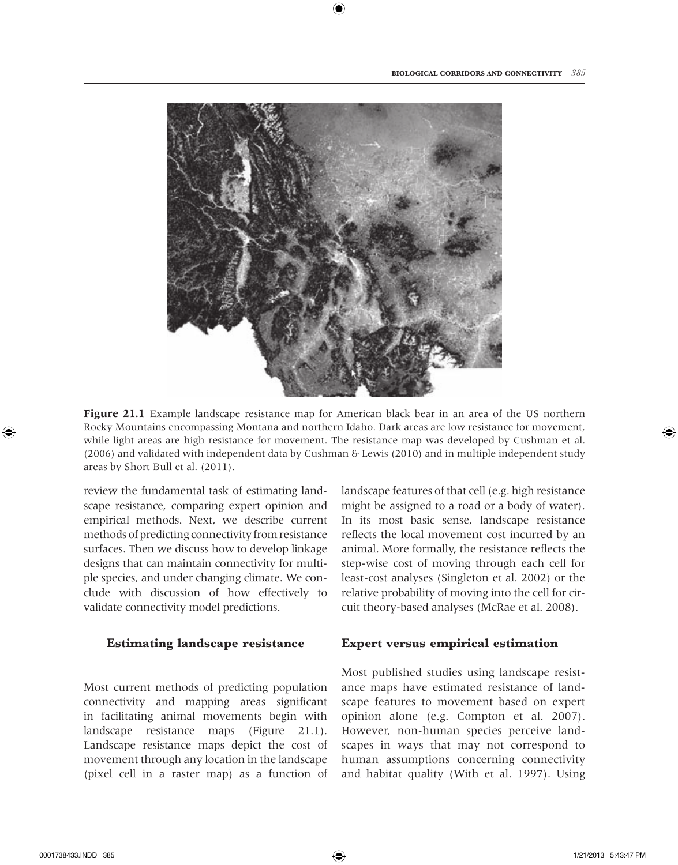

**Figure 21.1** Example landscape resistance map for American black bear in an area of the US northern Rocky Mountains encompassing Montana and northern Idaho. Dark areas are low resistance for movement, while light areas are high resistance for movement. The resistance map was developed by Cushman et al. (2006) and validated with independent data by Cushman & Lewis (2010) and in multiple independent study areas by Short Bull et al. (2011).

review the fundamental task of estimating landscape resistance, comparing expert opinion and empirical methods. Next, we describe current methods of predicting connectivity from resistance surfaces. Then we discuss how to develop linkage designs that can maintain connectivity for multiple species, and under changing climate. We conclude with discussion of how effectively to validate connectivity model predictions.

#### **Estimating landscape resistance**

Most current methods of predicting population connectivity and mapping areas significant in facilitating animal movements begin with landscape resistance maps (Figure 21.1). Landscape resistance maps depict the cost of movement through any location in the landscape (pixel cell in a raster map) as a function of landscape features of that cell (e.g. high resistance might be assigned to a road or a body of water). In its most basic sense, landscape resistance reflects the local movement cost incurred by an animal. More formally, the resistance reflects the step-wise cost of moving through each cell for least-cost analyses (Singleton et al. 2002) or the relative probability of moving into the cell for circuit theory-based analyses (McRae et al. 2008).

#### **Expert versus empirical estimation**

Most published studies using landscape resistance maps have estimated resistance of landscape features to movement based on expert opinion alone (e.g. Compton et al. 2007). However, non-human species perceive landscapes in ways that may not correspond to human assumptions concerning connectivity and habitat quality (With et al. 1997). Using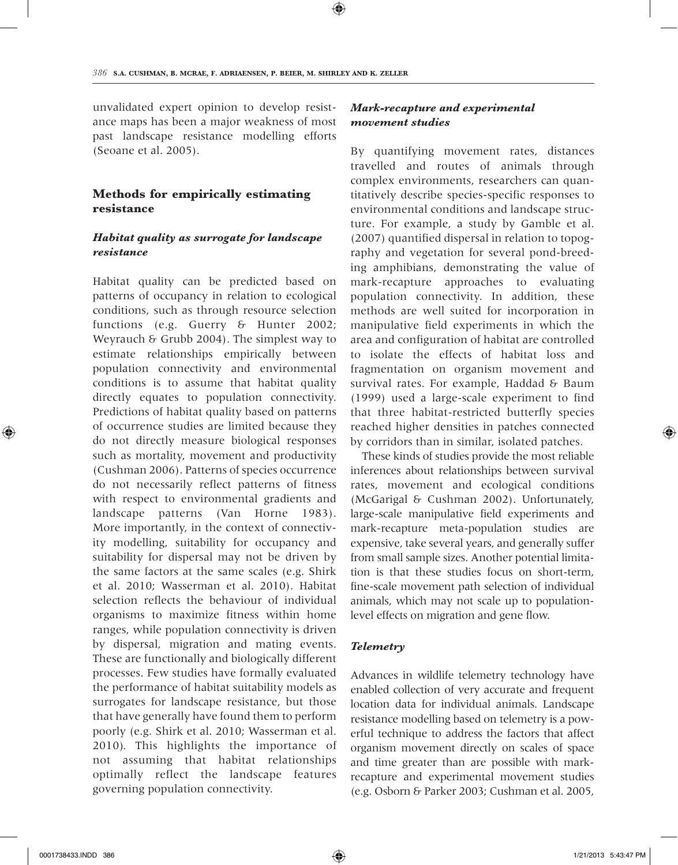unvalidated expert opinion to develop resistance maps has been a major weakness of most past landscape resistance modelling efforts (Seoane et al. 2005).

# **Methods for empirically estimating resistance**

# *Habitat quality as surrogate for landscape resistance*

Habitat quality can be predicted based on patterns of occupancy in relation to ecological conditions, such as through resource selection functions (e.g. Guerry & Hunter 2002; Weyrauch & Grubb 2004). The simplest way to estimate relationships empirically between population connectivity and environmental conditions is to assume that habitat quality directly equates to population connectivity. Predictions of habitat quality based on patterns of occurrence studies are limited because they do not directly measure biological responses such as mortality, movement and productivity (Cushman 2006). Patterns of species occurrence do not necessarily reflect patterns of fitness with respect to environmental gradients and landscape patterns (Van Horne 1983). More importantly, in the context of connectivity modelling, suitability for occupancy and suitability for dispersal may not be driven by the same factors at the same scales (e.g. Shirk et al. 2010; Wasserman et al. 2010). Habitat selection reflects the behaviour of individual organisms to maximize fitness within home ranges, while population connectivity is driven by dispersal, migration and mating events. These are functionally and biologically different processes. Few studies have formally evaluated the performance of habitat suitability models as surrogates for landscape resistance, but those that have generally have found them to perform poorly (e.g. Shirk et al. 2010; Wasserman et al. 2010). This highlights the importance of not assuming that habitat relationships optimally reflect the landscape features governing population connectivity.

## *Mark-recapture and experimental movement studies*

By quantifying movement rates, distances travelled and routes of animals through complex environments, researchers can quantitatively describe species-specific responses to environmental conditions and landscape structure. For example, a study by Gamble et al. (2007) quantified dispersal in relation to topography and vegetation for several pond-breeding amphibians, demonstrating the value of mark-recapture approaches to evaluating population connectivity. In addition, these methods are well suited for incorporation in manipulative field experiments in which the area and configuration of habitat are controlled to isolate the effects of habitat loss and fragmentation on organism movement and survival rates. For example, Haddad & Baum (1999) used a large-scale experiment to find that three habitat-restricted butterfly species reached higher densities in patches connected by corridors than in similar, isolated patches.

These kinds of studies provide the most reliable inferences about relationships between survival rates, movement and ecological conditions (McGarigal & Cushman 2002). Unfortunately, large-scale manipulative field experiments and mark-recapture meta-population studies are expensive, take several years, and generally suffer from small sample sizes. Another potential limitation is that these studies focus on short-term, fine-scale movement path selection of individual animals, which may not scale up to populationlevel effects on migration and gene flow.

#### *Telemetry*

Advances in wildlife telemetry technology have enabled collection of very accurate and frequent location data for individual animals. Landscape resistance modelling based on telemetry is a powerful technique to address the factors that affect organism movement directly on scales of space and time greater than are possible with markrecapture and experimental movement studies (e.g. Osborn & Parker 2003; Cushman et al. 2005,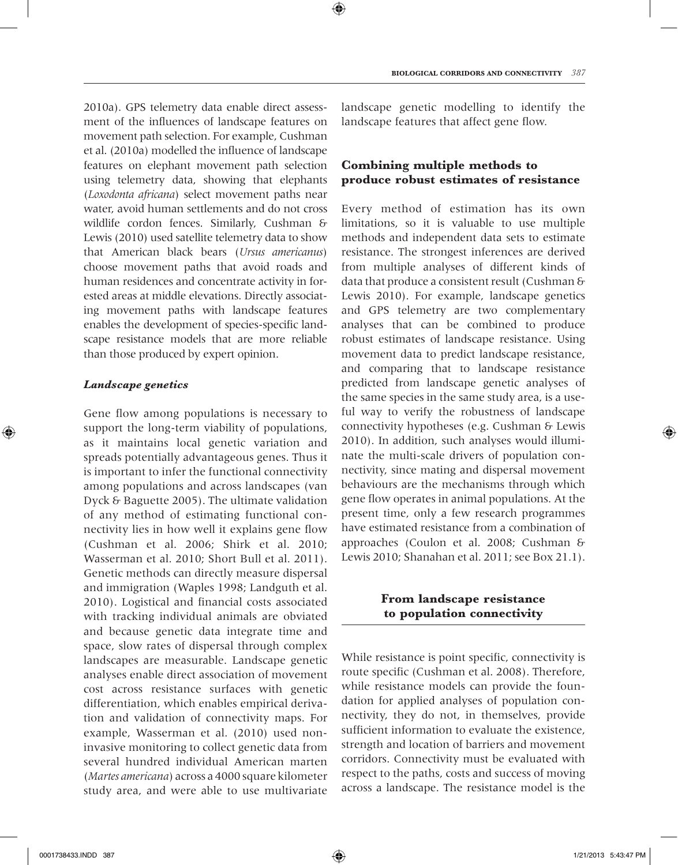2010a). GPS telemetry data enable direct assessment of the influences of landscape features on movement path selection. For example, Cushman et al. (2010a) modelled the influence of landscape features on elephant movement path selection using telemetry data, showing that elephants (*Loxodonta africana*) select movement paths near water, avoid human settlements and do not cross wildlife cordon fences. Similarly, Cushman & Lewis (2010) used satellite telemetry data to show that American black bears (*Ursus americanus*) choose movement paths that avoid roads and human residences and concentrate activity in forested areas at middle elevations. Directly associating movement paths with landscape features enables the development of species-specific landscape resistance models that are more reliable than those produced by expert opinion.

#### *Landscape genetics*

Gene flow among populations is necessary to support the long-term viability of populations, as it maintains local genetic variation and spreads potentially advantageous genes. Thus it is important to infer the functional connectivity among populations and across landscapes (van Dyck & Baguette 2005). The ultimate validation of any method of estimating functional connectivity lies in how well it explains gene flow (Cushman et al. 2006; Shirk et al. 2010; Wasserman et al. 2010; Short Bull et al. 2011). Genetic methods can directly measure dispersal and immigration (Waples 1998; Landguth et al. 2010). Logistical and financial costs associated with tracking individual animals are obviated and because genetic data integrate time and space, slow rates of dispersal through complex landscapes are measurable. Landscape genetic analyses enable direct association of movement cost across resistance surfaces with genetic differentiation, which enables empirical derivation and validation of connectivity maps. For example, Wasserman et al. (2010) used noninvasive monitoring to collect genetic data from several hundred individual American marten (*Martes americana*) across a 4000 square kilometer study area, and were able to use multivariate

landscape genetic modelling to identify the landscape features that affect gene flow.

# **Combining multiple methods to produce robust estimates of resistance**

Every method of estimation has its own limitations, so it is valuable to use multiple methods and independent data sets to estimate resistance. The strongest inferences are derived from multiple analyses of different kinds of data that produce a consistent result (Cushman & Lewis 2010). For example, landscape genetics and GPS telemetry are two complementary analyses that can be combined to produce robust estimates of landscape resistance. Using movement data to predict landscape resistance, and comparing that to landscape resistance predicted from landscape genetic analyses of the same species in the same study area, is a useful way to verify the robustness of landscape connectivity hypotheses (e.g. Cushman & Lewis 2010). In addition, such analyses would illuminate the multi-scale drivers of population connectivity, since mating and dispersal movement behaviours are the mechanisms through which gene flow operates in animal populations. At the present time, only a few research programmes have estimated resistance from a combination of approaches (Coulon et al. 2008; Cushman & Lewis 2010; Shanahan et al. 2011; see Box 21.1).

# **From landscape resistance to population connectivity**

While resistance is point specific, connectivity is route specific (Cushman et al. 2008). Therefore, while resistance models can provide the foundation for applied analyses of population connectivity, they do not, in themselves, provide sufficient information to evaluate the existence, strength and location of barriers and movement corridors. Connectivity must be evaluated with respect to the paths, costs and success of moving across a landscape. The resistance model is the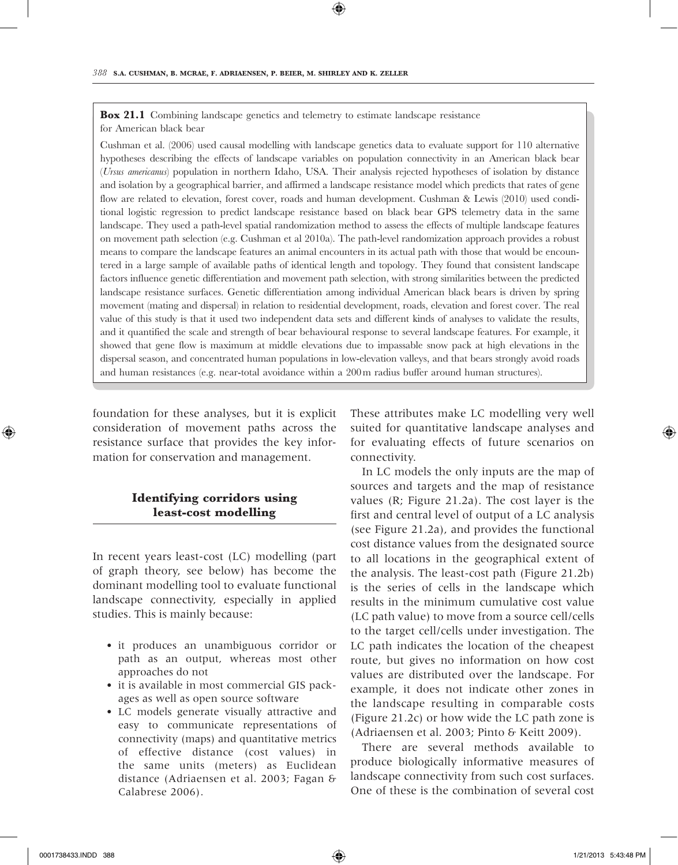**Box 21.1** Combining landscape genetics and telemetry to estimate landscape resistance for American black bear

Cushman et al. (2006) used causal modelling with landscape genetics data to evaluate support for 110 alternative hypotheses describing the effects of landscape variables on population connectivity in an American black bear (*Ursus americanus*) population in northern Idaho, USA. Their analysis rejected hypotheses of isolation by distance and isolation by a geographical barrier, and affirmed a landscape resistance model which predicts that rates of gene flow are related to elevation, forest cover, roads and human development. Cushman & Lewis (2010) used conditional logistic regression to predict landscape resistance based on black bear GPS telemetry data in the same landscape. They used a path-level spatial randomization method to assess the effects of multiple landscape features on movement path selection (e.g. Cushman et al 2010a). The path-level randomization approach provides a robust means to compare the landscape features an animal encounters in its actual path with those that would be encountered in a large sample of available paths of identical length and topology. They found that consistent landscape factors influence genetic differentiation and movement path selection, with strong similarities between the predicted landscape resistance surfaces. Genetic differentiation among individual American black bears is driven by spring movement (mating and dispersal) in relation to residential development, roads, elevation and forest cover. The real value of this study is that it used two independent data sets and different kinds of analyses to validate the results, and it quantified the scale and strength of bear behavioural response to several landscape features. For example, it showed that gene flow is maximum at middle elevations due to impassable snow pack at high elevations in the dispersal season, and concentrated human populations in low-elevation valleys, and that bears strongly avoid roads and human resistances (e.g. near-total avoidance within a 200m radius buffer around human structures).

foundation for these analyses, but it is explicit consideration of movement paths across the resistance surface that provides the key information for conservation and management.

# **Identifying corridors using least-cost modelling**

In recent years least-cost (LC) modelling (part of graph theory, see below) has become the dominant modelling tool to evaluate functional landscape connectivity, especially in applied studies. This is mainly because:

- it produces an unambiguous corridor or path as an output, whereas most other approaches do not
- it is available in most commercial GIS packages as well as open source software
- LC models generate visually attractive and easy to communicate representations of connectivity (maps) and quantitative metrics of effective distance (cost values) in the same units (meters) as Euclidean distance (Adriaensen et al. 2003; Fagan & Calabrese 2006).

These attributes make LC modelling very well suited for quantitative landscape analyses and for evaluating effects of future scenarios on connectivity.

In LC models the only inputs are the map of sources and targets and the map of resistance values (R; Figure 21.2a). The cost layer is the first and central level of output of a LC analysis (see Figure 21.2a), and provides the functional cost distance values from the designated source to all locations in the geographical extent of the analysis. The least-cost path (Figure 21.2b) is the series of cells in the landscape which results in the minimum cumulative cost value (LC path value) to move from a source cell/cells to the target cell/cells under investigation. The LC path indicates the location of the cheapest route, but gives no information on how cost values are distributed over the landscape. For example, it does not indicate other zones in the landscape resulting in comparable costs (Figure 21.2c) or how wide the LC path zone is (Adriaensen et al. 2003; Pinto & Keitt 2009).

There are several methods available to produce biologically informative measures of landscape connectivity from such cost surfaces. One of these is the combination of several cost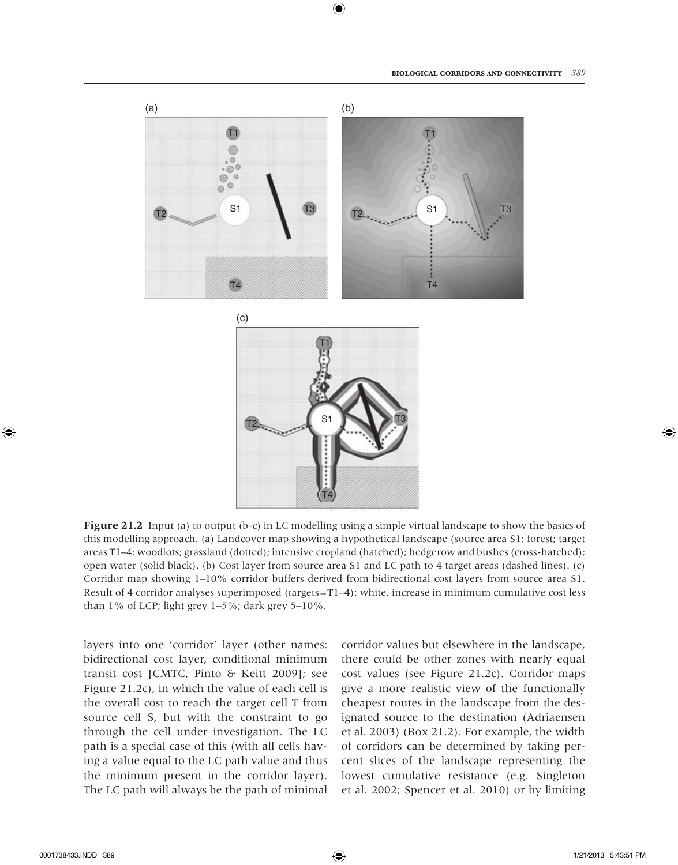



**Figure 21.2** Input (a) to output (b-c) in LC modelling using a simple virtual landscape to show the basics of this modelling approach. (a) Landcover map showing a hypothetical landscape (source area S1: forest; target areas T1–4: woodlots; grassland (dotted); intensive cropland (hatched); hedgerow and bushes (cross-hatched); open water (solid black). (b) Cost layer from source area S1 and LC path to 4 target areas (dashed lines). (c) Corridor map showing 1–10% corridor buffers derived from bidirectional cost layers from source area S1. Result of 4 corridor analyses superimposed (targets=T1–4): white, increase in minimum cumulative cost less than 1% of LCP; light grey 1–5%; dark grey 5–10%.

T4

layers into one 'corridor' layer (other names: bidirectional cost layer, conditional minimum transit cost [CMTC, Pinto & Keitt 2009]; see Figure 21.2c), in which the value of each cell is the overall cost to reach the target cell T from source cell S, but with the constraint to go through the cell under investigation. The LC path is a special case of this (with all cells having a value equal to the LC path value and thus the minimum present in the corridor layer). The LC path will always be the path of minimal

corridor values but elsewhere in the landscape, there could be other zones with nearly equal cost values (see Figure 21.2c). Corridor maps give a more realistic view of the functionally cheapest routes in the landscape from the designated source to the destination (Adriaensen et al. 2003) (Box 21.2). For example, the width of corridors can be determined by taking percent slices of the landscape representing the lowest cumulative resistance (e.g. Singleton et al. 2002; Spencer et al. 2010) or by limiting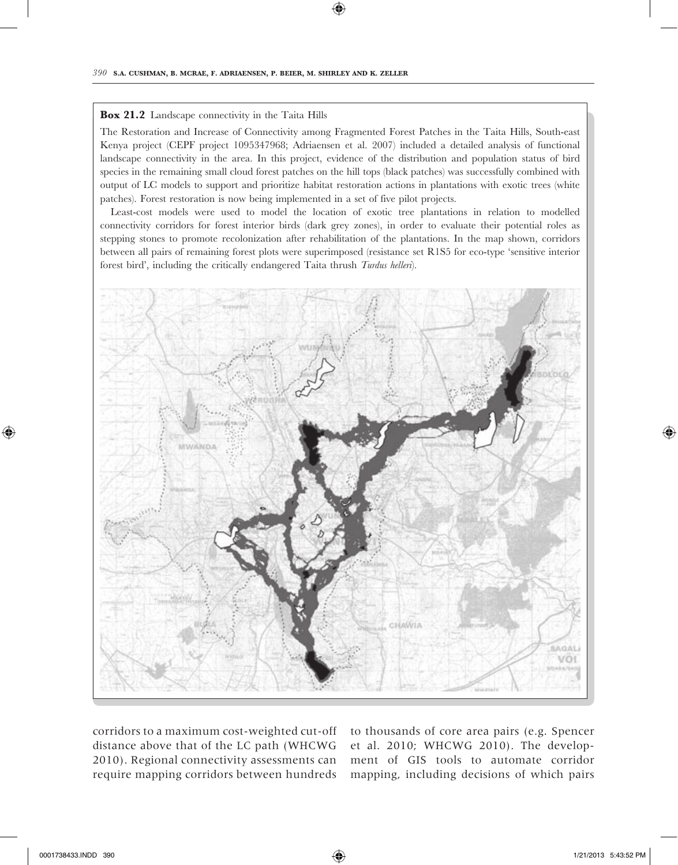**Box 21.2** Landscape connectivity in the Taita Hills

The Restoration and Increase of Connectivity among Fragmented Forest Patches in the Taita Hills, South-east Kenya project (CEPF project 1095347968; Adriaensen et al. 2007) included a detailed analysis of functional landscape connectivity in the area. In this project, evidence of the distribution and population status of bird species in the remaining small cloud forest patches on the hill tops (black patches) was successfully combined with output of LC models to support and prioritize habitat restoration actions in plantations with exotic trees (white patches). Forest restoration is now being implemented in a set of five pilot projects.

Least-cost models were used to model the location of exotic tree plantations in relation to modelled connectivity corridors for forest interior birds (dark grey zones), in order to evaluate their potential roles as stepping stones to promote recolonization after rehabilitation of the plantations. In the map shown, corridors between all pairs of remaining forest plots were superimposed (resistance set R1S5 for eco-type 'sensitive interior forest bird', including the critically endangered Taita thrush *Turdus helleri*).



corridors to a maximum cost-weighted cut-off distance above that of the LC path (WHCWG 2010). Regional connectivity assessments can require mapping corridors between hundreds

to thousands of core area pairs (e.g. Spencer et al. 2010; WHCWG 2010). The development of GIS tools to automate corridor mapping, including decisions of which pairs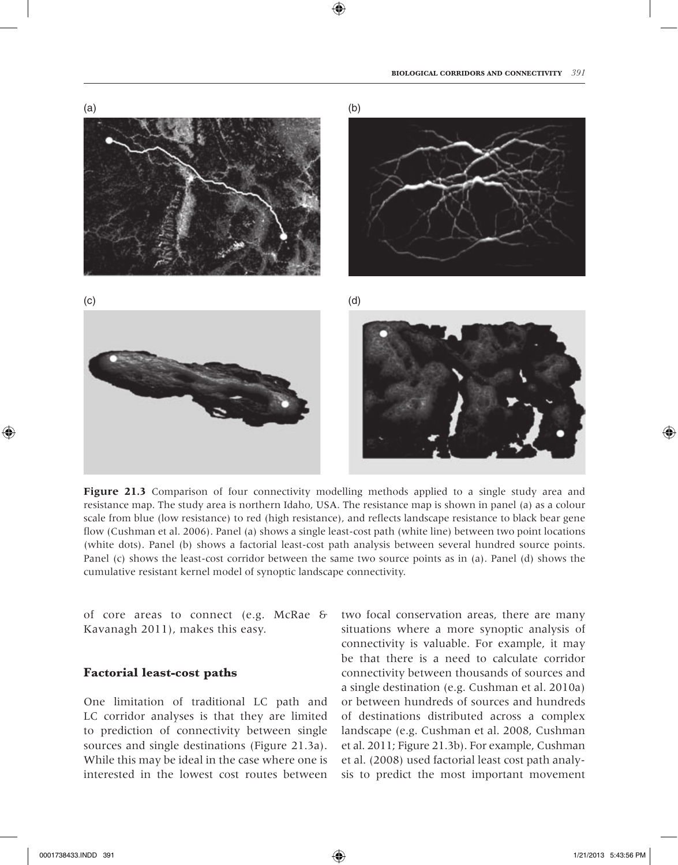

**Figure 21.3** Comparison of four connectivity modelling methods applied to a single study area and resistance map. The study area is northern Idaho, USA. The resistance map is shown in panel (a) as a colour scale from blue (low resistance) to red (high resistance), and reflects landscape resistance to black bear gene flow (Cushman et al. 2006). Panel (a) shows a single least-cost path (white line) between two point locations (white dots). Panel (b) shows a factorial least-cost path analysis between several hundred source points. Panel (c) shows the least-cost corridor between the same two source points as in (a). Panel (d) shows the cumulative resistant kernel model of synoptic landscape connectivity.

of core areas to connect (e.g. McRae & Kavanagh 2011), makes this easy.

#### **Factorial least-cost paths**

One limitation of traditional LC path and LC corridor analyses is that they are limited to prediction of connectivity between single sources and single destinations (Figure 21.3a). While this may be ideal in the case where one is interested in the lowest cost routes between two focal conservation areas, there are many situations where a more synoptic analysis of connectivity is valuable. For example, it may be that there is a need to calculate corridor connectivity between thousands of sources and a single destination (e.g. Cushman et al. 2010a) or between hundreds of sources and hundreds of destinations distributed across a complex landscape (e.g. Cushman et al. 2008, Cushman et al. 2011; Figure 21.3b). For example, Cushman et al. (2008) used factorial least cost path analysis to predict the most important movement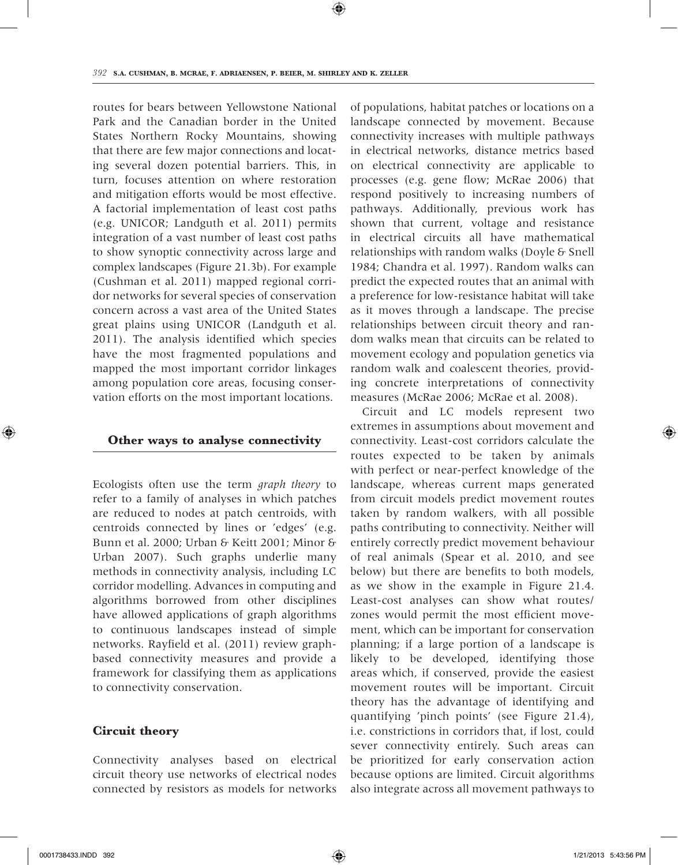routes for bears between Yellowstone National Park and the Canadian border in the United States Northern Rocky Mountains, showing that there are few major connections and locating several dozen potential barriers. This, in turn, focuses attention on where restoration and mitigation efforts would be most effective. A factorial implementation of least cost paths (e.g. UNICOR; Landguth et al. 2011) permits integration of a vast number of least cost paths to show synoptic connectivity across large and complex landscapes (Figure 21.3b). For example (Cushman et al. 2011) mapped regional corridor networks for several species of conservation concern across a vast area of the United States great plains using UNICOR (Landguth et al. 2011). The analysis identified which species have the most fragmented populations and mapped the most important corridor linkages among population core areas, focusing conservation efforts on the most important locations.

#### **Other ways to analyse connectivity**

Ecologists often use the term *graph theory* to refer to a family of analyses in which patches are reduced to nodes at patch centroids, with centroids connected by lines or 'edges' (e.g. Bunn et al. 2000; Urban & Keitt 2001; Minor & Urban 2007). Such graphs underlie many methods in connectivity analysis, including LC corridor modelling. Advances in computing and algorithms borrowed from other disciplines have allowed applications of graph algorithms to continuous landscapes instead of simple networks. Rayfield et al. (2011) review graphbased connectivity measures and provide a framework for classifying them as applications to connectivity conservation.

#### **Circuit theory**

Connectivity analyses based on electrical circuit theory use networks of electrical nodes connected by resistors as models for networks of populations, habitat patches or locations on a landscape connected by movement. Because connectivity increases with multiple pathways in electrical networks, distance metrics based on electrical connectivity are applicable to processes (e.g. gene flow; McRae 2006) that respond positively to increasing numbers of pathways. Additionally, previous work has shown that current, voltage and resistance in electrical circuits all have mathematical relationships with random walks (Doyle & Snell 1984; Chandra et al. 1997). Random walks can predict the expected routes that an animal with a preference for low-resistance habitat will take as it moves through a landscape. The precise relationships between circuit theory and random walks mean that circuits can be related to movement ecology and population genetics via random walk and coalescent theories, providing concrete interpretations of connectivity measures (McRae 2006; McRae et al. 2008).

Circuit and LC models represent two extremes in assumptions about movement and connectivity. Least-cost corridors calculate the routes expected to be taken by animals with perfect or near-perfect knowledge of the landscape, whereas current maps generated from circuit models predict movement routes taken by random walkers, with all possible paths contributing to connectivity. Neither will entirely correctly predict movement behaviour of real animals (Spear et al. 2010, and see below) but there are benefits to both models, as we show in the example in Figure 21.4. Least-cost analyses can show what routes/ zones would permit the most efficient movement, which can be important for conservation planning; if a large portion of a landscape is likely to be developed, identifying those areas which, if conserved, provide the easiest movement routes will be important. Circuit theory has the advantage of identifying and quantifying 'pinch points' (see Figure 21.4), i.e. constrictions in corridors that, if lost, could sever connectivity entirely. Such areas can be prioritized for early conservation action because options are limited. Circuit algorithms also integrate across all movement pathways to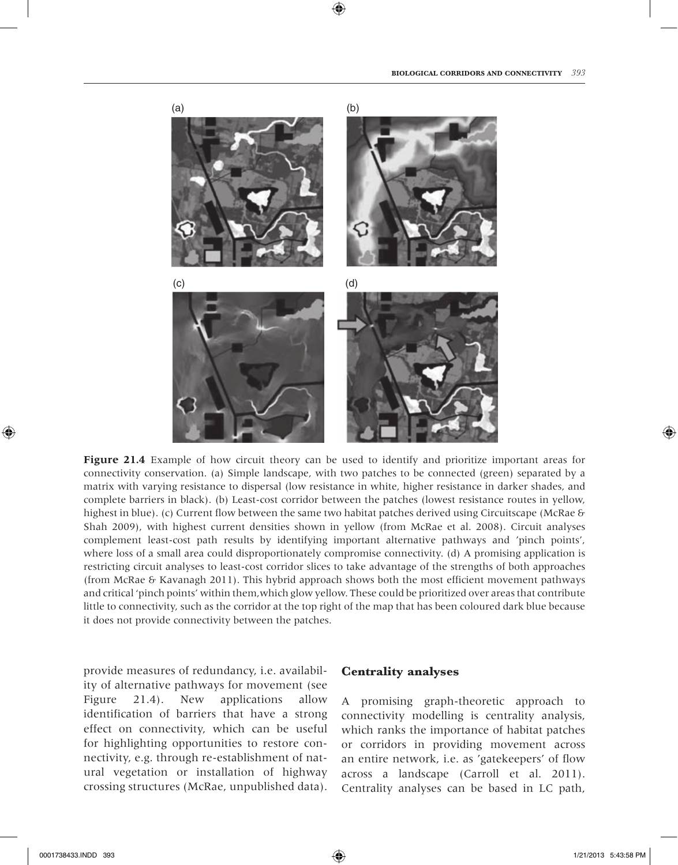

**Figure 21.4** Example of how circuit theory can be used to identify and prioritize important areas for connectivity conservation. (a) Simple landscape, with two patches to be connected (green) separated by a matrix with varying resistance to dispersal (low resistance in white, higher resistance in darker shades, and complete barriers in black). (b) Least-cost corridor between the patches (lowest resistance routes in yellow, highest in blue). (c) Current flow between the same two habitat patches derived using Circuitscape (McRae & Shah 2009), with highest current densities shown in yellow (from McRae et al. 2008). Circuit analyses complement least-cost path results by identifying important alternative pathways and 'pinch points', where loss of a small area could disproportionately compromise connectivity. (d) A promising application is restricting circuit analyses to least-cost corridor slices to take advantage of the strengths of both approaches (from McRae & Kavanagh 2011). This hybrid approach shows both the most efficient movement pathways and critical 'pinch points' within them,which glow yellow. These could be prioritized over areas that contribute little to connectivity, such as the corridor at the top right of the map that has been coloured dark blue because it does not provide connectivity between the patches.

provide measures of redundancy, i.e. availability of alternative pathways for movement (see Figure 21.4). New applications allow identification of barriers that have a strong effect on connectivity, which can be useful for highlighting opportunities to restore connectivity, e.g. through re-establishment of natural vegetation or installation of highway crossing structures (McRae, unpublished data).

#### **Centrality analyses**

A promising graph-theoretic approach to connectivity modelling is centrality analysis, which ranks the importance of habitat patches or corridors in providing movement across an entire network, i.e. as 'gatekeepers' of flow across a landscape (Carroll et al. 2011). Centrality analyses can be based in LC path,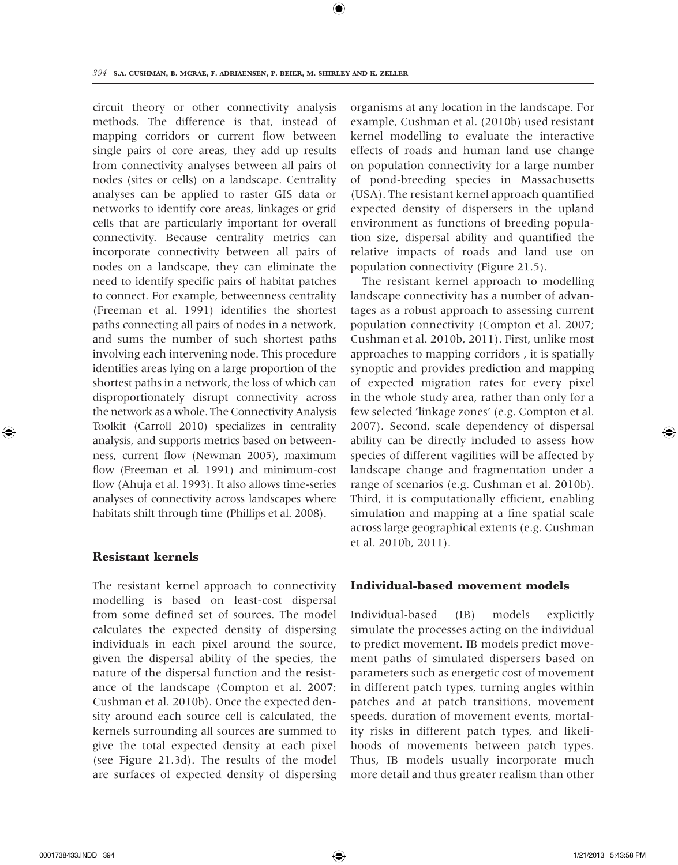circuit theory or other connectivity analysis methods. The difference is that, instead of mapping corridors or current flow between single pairs of core areas, they add up results from connectivity analyses between all pairs of nodes (sites or cells) on a landscape. Centrality analyses can be applied to raster GIS data or networks to identify core areas, linkages or grid cells that are particularly important for overall connectivity. Because centrality metrics can incorporate connectivity between all pairs of nodes on a landscape, they can eliminate the need to identify specific pairs of habitat patches to connect. For example, betweenness centrality (Freeman et al. 1991) identifies the shortest paths connecting all pairs of nodes in a network, and sums the number of such shortest paths involving each intervening node. This procedure identifies areas lying on a large proportion of the shortest paths in a network, the loss of which can disproportionately disrupt connectivity across the network as a whole. The Connectivity Analysis Toolkit (Carroll 2010) specializes in centrality analysis, and supports metrics based on betweenness, current flow (Newman 2005), maximum flow (Freeman et al. 1991) and minimum-cost flow (Ahuja et al. 1993). It also allows time-series analyses of connectivity across landscapes where habitats shift through time (Phillips et al. 2008).

#### **Resistant kernels**

The resistant kernel approach to connectivity modelling is based on least-cost dispersal from some defined set of sources. The model calculates the expected density of dispersing individuals in each pixel around the source, given the dispersal ability of the species, the nature of the dispersal function and the resistance of the landscape (Compton et al. 2007; Cushman et al. 2010b). Once the expected density around each source cell is calculated, the kernels surrounding all sources are summed to give the total expected density at each pixel (see Figure 21.3d). The results of the model are surfaces of expected density of dispersing

organisms at any location in the landscape. For example, Cushman et al. (2010b) used resistant kernel modelling to evaluate the interactive effects of roads and human land use change on population connectivity for a large number of pond-breeding species in Massachusetts (USA). The resistant kernel approach quantified expected density of dispersers in the upland environment as functions of breeding population size, dispersal ability and quantified the relative impacts of roads and land use on population connectivity (Figure 21.5).

The resistant kernel approach to modelling landscape connectivity has a number of advantages as a robust approach to assessing current population connectivity (Compton et al. 2007; Cushman et al. 2010b, 2011). First, unlike most approaches to mapping corridors , it is spatially synoptic and provides prediction and mapping of expected migration rates for every pixel in the whole study area, rather than only for a few selected 'linkage zones' (e.g. Compton et al. 2007). Second, scale dependency of dispersal ability can be directly included to assess how species of different vagilities will be affected by landscape change and fragmentation under a range of scenarios (e.g. Cushman et al. 2010b). Third, it is computationally efficient, enabling simulation and mapping at a fine spatial scale across large geographical extents (e.g. Cushman et al. 2010b, 2011).

#### **Individual-based movement models**

Individual-based (IB) models explicitly simulate the processes acting on the individual to predict movement. IB models predict movement paths of simulated dispersers based on parameters such as energetic cost of movement in different patch types, turning angles within patches and at patch transitions, movement speeds, duration of movement events, mortality risks in different patch types, and likelihoods of movements between patch types. Thus, IB models usually incorporate much more detail and thus greater realism than other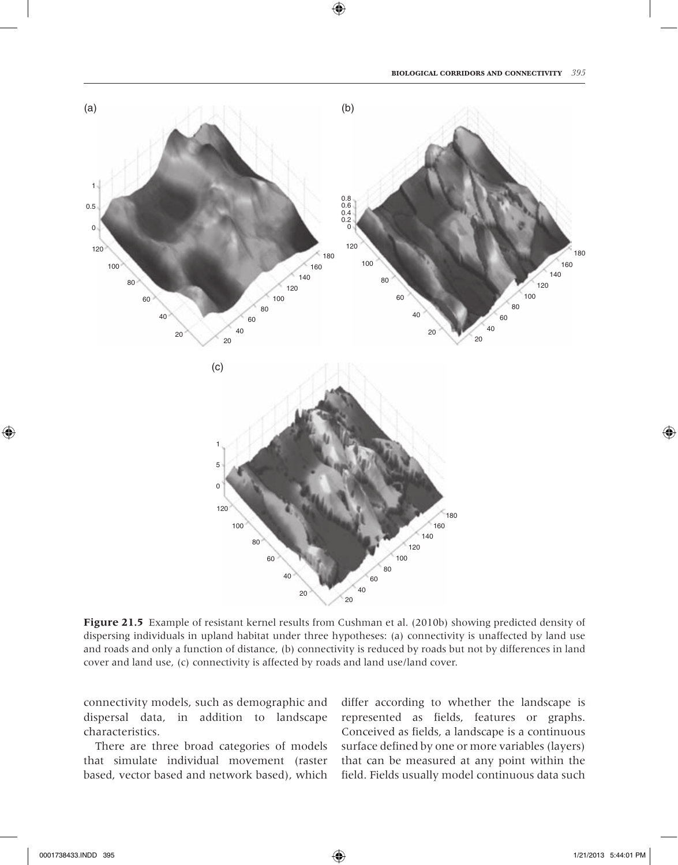

**Figure 21.5** Example of resistant kernel results from Cushman et al. (2010b) showing predicted density of dispersing individuals in upland habitat under three hypotheses: (a) connectivity is unaffected by land use and roads and only a function of distance, (b) connectivity is reduced by roads but not by differences in land cover and land use, (c) connectivity is affected by roads and land use/land cover.

connectivity models, such as demographic and dispersal data, in addition to landscape characteristics.

There are three broad categories of models that simulate individual movement (raster based, vector based and network based), which differ according to whether the landscape is represented as fields, features or graphs. Conceived as fields, a landscape is a continuous surface defined by one or more variables (layers) that can be measured at any point within the field. Fields usually model continuous data such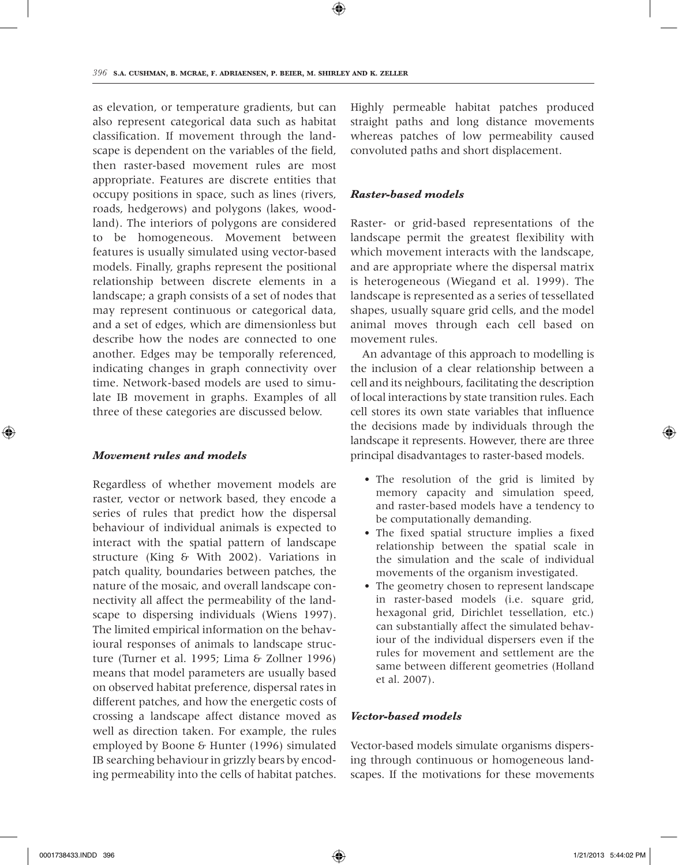as elevation, or temperature gradients, but can also represent categorical data such as habitat classification. If movement through the landscape is dependent on the variables of the field, then raster-based movement rules are most appropriate. Features are discrete entities that occupy positions in space, such as lines (rivers, roads, hedgerows) and polygons (lakes, woodland). The interiors of polygons are considered to be homogeneous. Movement between features is usually simulated using vector-based models. Finally, graphs represent the positional relationship between discrete elements in a landscape; a graph consists of a set of nodes that may represent continuous or categorical data, and a set of edges, which are dimensionless but describe how the nodes are connected to one another. Edges may be temporally referenced, indicating changes in graph connectivity over time. Network-based models are used to simulate IB movement in graphs. Examples of all three of these categories are discussed below.

#### *Movement rules and models*

Regardless of whether movement models are raster, vector or network based, they encode a series of rules that predict how the dispersal behaviour of individual animals is expected to interact with the spatial pattern of landscape structure (King & With 2002). Variations in patch quality, boundaries between patches, the nature of the mosaic, and overall landscape connectivity all affect the permeability of the landscape to dispersing individuals (Wiens 1997). The limited empirical information on the behavioural responses of animals to landscape structure (Turner et al. 1995; Lima & Zollner 1996) means that model parameters are usually based on observed habitat preference, dispersal rates in different patches, and how the energetic costs of crossing a landscape affect distance moved as well as direction taken. For example, the rules employed by Boone & Hunter (1996) simulated IB searching behaviour in grizzly bears by encoding permeability into the cells of habitat patches.

Highly permeable habitat patches produced straight paths and long distance movements whereas patches of low permeability caused convoluted paths and short displacement.

#### *Raster-based models*

Raster- or grid-based representations of the landscape permit the greatest flexibility with which movement interacts with the landscape, and are appropriate where the dispersal matrix is heterogeneous (Wiegand et al. 1999). The landscape is represented as a series of tessellated shapes, usually square grid cells, and the model animal moves through each cell based on movement rules.

An advantage of this approach to modelling is the inclusion of a clear relationship between a cell and its neighbours, facilitating the description of local interactions by state transition rules. Each cell stores its own state variables that influence the decisions made by individuals through the landscape it represents. However, there are three principal disadvantages to raster-based models.

- The resolution of the grid is limited by memory capacity and simulation speed, and raster-based models have a tendency to be computationally demanding.
- The fixed spatial structure implies a fixed relationship between the spatial scale in the simulation and the scale of individual movements of the organism investigated.
- The geometry chosen to represent landscape in raster-based models (i.e. square grid, hexagonal grid, Dirichlet tessellation, etc.) can substantially affect the simulated behaviour of the individual dispersers even if the rules for movement and settlement are the same between different geometries (Holland et al. 2007).

#### *Vector-based models*

Vector-based models simulate organisms dispersing through continuous or homogeneous landscapes. If the motivations for these movements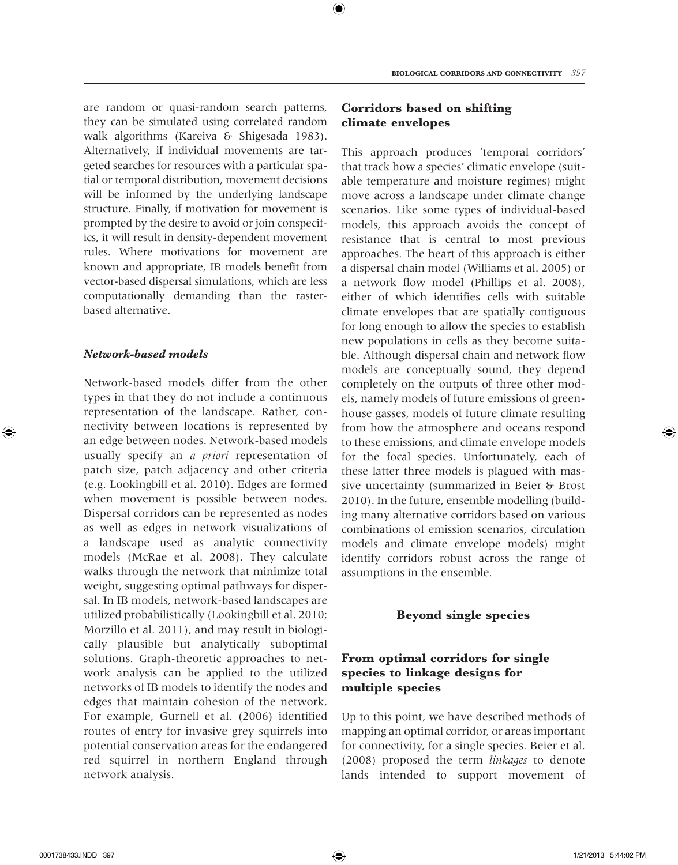are random or quasi-random search patterns, they can be simulated using correlated random walk algorithms (Kareiva & Shigesada 1983). Alternatively, if individual movements are targeted searches for resources with a particular spatial or temporal distribution, movement decisions will be informed by the underlying landscape structure. Finally, if motivation for movement is prompted by the desire to avoid or join conspecifics, it will result in density-dependent movement rules. Where motivations for movement are known and appropriate, IB models benefit from vector-based dispersal simulations, which are less computationally demanding than the rasterbased alternative.

## *Network-based models*

Network-based models differ from the other types in that they do not include a continuous representation of the landscape. Rather, connectivity between locations is represented by an edge between nodes. Network-based models usually specify an *a priori* representation of patch size, patch adjacency and other criteria (e.g. Lookingbill et al. 2010). Edges are formed when movement is possible between nodes. Dispersal corridors can be represented as nodes as well as edges in network visualizations of a landscape used as analytic connectivity models (McRae et al. 2008). They calculate walks through the network that minimize total weight, suggesting optimal pathways for dispersal. In IB models, network-based landscapes are utilized probabilistically (Lookingbill et al. 2010; Morzillo et al. 2011), and may result in biologically plausible but analytically suboptimal solutions. Graph-theoretic approaches to network analysis can be applied to the utilized networks of IB models to identify the nodes and edges that maintain cohesion of the network. For example, Gurnell et al. (2006) identified routes of entry for invasive grey squirrels into potential conservation areas for the endangered red squirrel in northern England through network analysis.

# **Corridors based on shifting climate envelopes**

This approach produces 'temporal corridors' that track how a species' climatic envelope (suitable temperature and moisture regimes) might move across a landscape under climate change scenarios. Like some types of individual-based models, this approach avoids the concept of resistance that is central to most previous approaches. The heart of this approach is either a dispersal chain model (Williams et al. 2005) or a network flow model (Phillips et al. 2008), either of which identifies cells with suitable climate envelopes that are spatially contiguous for long enough to allow the species to establish new populations in cells as they become suitable. Although dispersal chain and network flow models are conceptually sound, they depend completely on the outputs of three other models, namely models of future emissions of greenhouse gasses, models of future climate resulting from how the atmosphere and oceans respond to these emissions, and climate envelope models for the focal species. Unfortunately, each of these latter three models is plagued with massive uncertainty (summarized in Beier & Brost 2010). In the future, ensemble modelling (building many alternative corridors based on various combinations of emission scenarios, circulation models and climate envelope models) might identify corridors robust across the range of assumptions in the ensemble.

#### **Beyond single species**

# **From optimal corridors for single species to linkage designs for multiple species**

Up to this point, we have described methods of mapping an optimal corridor, or areas important for connectivity, for a single species. Beier et al. (2008) proposed the term *linkages* to denote lands intended to support movement of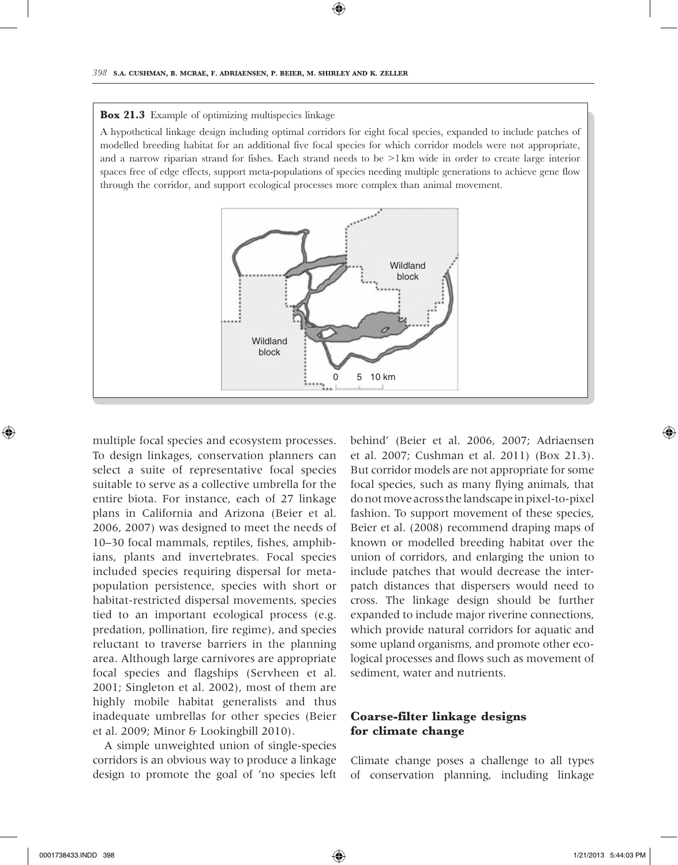**Box 21.3** Example of optimizing multispecies linkage

A hypothetical linkage design including optimal corridors for eight focal species, expanded to include patches of modelled breeding habitat for an additional five focal species for which corridor models were not appropriate, and a narrow riparian strand for fishes. Each strand needs to be >1 km wide in order to create large interior spaces free of edge effects, support meta-populations of species needing multiple generations to achieve gene flow through the corridor, and support ecological processes more complex than animal movement.



multiple focal species and ecosystem processes. To design linkages, conservation planners can select a suite of representative focal species suitable to serve as a collective umbrella for the entire biota. For instance, each of 27 linkage plans in California and Arizona (Beier et al. 2006, 2007) was designed to meet the needs of 10–30 focal mammals, reptiles, fishes, amphibians, plants and invertebrates. Focal species included species requiring dispersal for metapopulation persistence, species with short or habitat-restricted dispersal movements, species tied to an important ecological process (e.g. predation, pollination, fire regime), and species reluctant to traverse barriers in the planning area. Although large carnivores are appropriate focal species and flagships (Servheen et al. 2001; Singleton et al. 2002), most of them are highly mobile habitat generalists and thus inadequate umbrellas for other species (Beier et al. 2009; Minor & Lookingbill 2010).

A simple unweighted union of single-species corridors is an obvious way to produce a linkage design to promote the goal of 'no species left behind' (Beier et al. 2006, 2007; Adriaensen et al. 2007; Cushman et al. 2011) (Box 21.3). But corridor models are not appropriate for some focal species, such as many flying animals, that do not move across the landscape in pixel-to-pixel fashion. To support movement of these species, Beier et al. (2008) recommend draping maps of known or modelled breeding habitat over the union of corridors, and enlarging the union to include patches that would decrease the interpatch distances that dispersers would need to cross. The linkage design should be further expanded to include major riverine connections, which provide natural corridors for aquatic and some upland organisms, and promote other ecological processes and flows such as movement of sediment, water and nutrients.

# **Coarse-filter linkage designs for climate change**

Climate change poses a challenge to all types of conservation planning, including linkage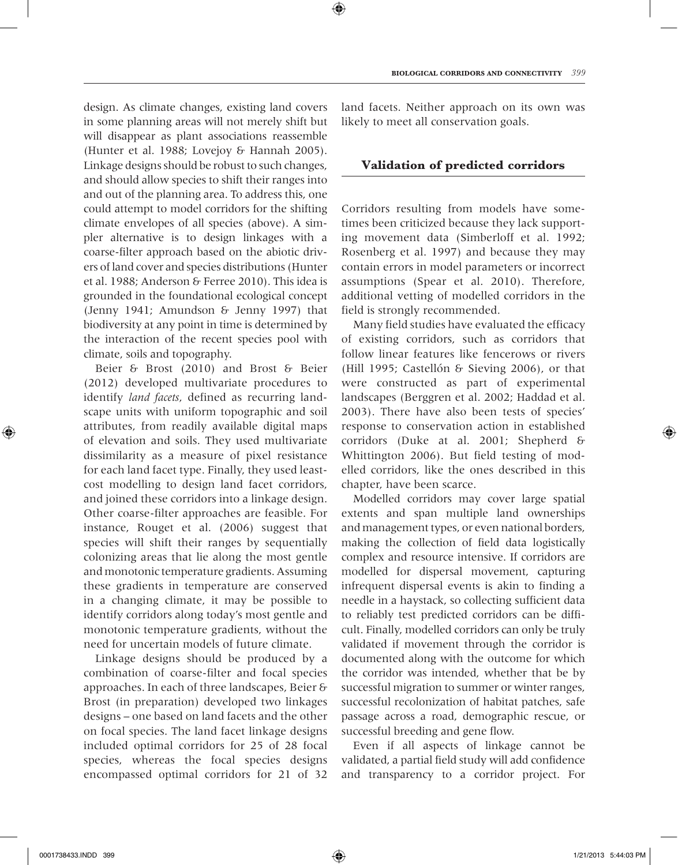design. As climate changes, existing land covers in some planning areas will not merely shift but will disappear as plant associations reassemble (Hunter et al. 1988; Lovejoy & Hannah 2005). Linkage designs should be robust to such changes, and should allow species to shift their ranges into and out of the planning area. To address this, one could attempt to model corridors for the shifting climate envelopes of all species (above). A simpler alternative is to design linkages with a coarse-filter approach based on the abiotic drivers of land cover and species distributions (Hunter et al. 1988; Anderson & Ferree 2010). This idea is grounded in the foundational ecological concept (Jenny 1941; Amundson & Jenny 1997) that biodiversity at any point in time is determined by the interaction of the recent species pool with climate, soils and topography.

Beier & Brost (2010) and Brost & Beier (2012) developed multivariate procedures to identify *land facets*, defined as recurring landscape units with uniform topographic and soil attributes, from readily available digital maps of elevation and soils. They used multivariate dissimilarity as a measure of pixel resistance for each land facet type. Finally, they used leastcost modelling to design land facet corridors, and joined these corridors into a linkage design. Other coarse-filter approaches are feasible. For instance, Rouget et al. (2006) suggest that species will shift their ranges by sequentially colonizing areas that lie along the most gentle and monotonic temperature gradients. Assuming these gradients in temperature are conserved in a changing climate, it may be possible to identify corridors along today's most gentle and monotonic temperature gradients, without the need for uncertain models of future climate.

Linkage designs should be produced by a combination of coarse-filter and focal species approaches. In each of three landscapes, Beier & Brost (in preparation) developed two linkages designs – one based on land facets and the other on focal species. The land facet linkage designs included optimal corridors for 25 of 28 focal species, whereas the focal species designs encompassed optimal corridors for 21 of 32 land facets. Neither approach on its own was likely to meet all conservation goals.

### **Validation of predicted corridors**

Corridors resulting from models have sometimes been criticized because they lack supporting movement data (Simberloff et al. 1992; Rosenberg et al. 1997) and because they may contain errors in model parameters or incorrect assumptions (Spear et al. 2010). Therefore, additional vetting of modelled corridors in the field is strongly recommended.

Many field studies have evaluated the efficacy of existing corridors, such as corridors that follow linear features like fencerows or rivers (Hill 1995; Castellón & Sieving 2006), or that were constructed as part of experimental landscapes (Berggren et al. 2002; Haddad et al. 2003). There have also been tests of species' response to conservation action in established corridors (Duke at al. 2001; Shepherd & Whittington 2006). But field testing of modelled corridors, like the ones described in this chapter, have been scarce.

Modelled corridors may cover large spatial extents and span multiple land ownerships and management types, or even national borders, making the collection of field data logistically complex and resource intensive. If corridors are modelled for dispersal movement, capturing infrequent dispersal events is akin to finding a needle in a haystack, so collecting sufficient data to reliably test predicted corridors can be difficult. Finally, modelled corridors can only be truly validated if movement through the corridor is documented along with the outcome for which the corridor was intended, whether that be by successful migration to summer or winter ranges, successful recolonization of habitat patches, safe passage across a road, demographic rescue, or successful breeding and gene flow.

Even if all aspects of linkage cannot be validated, a partial field study will add confidence and transparency to a corridor project. For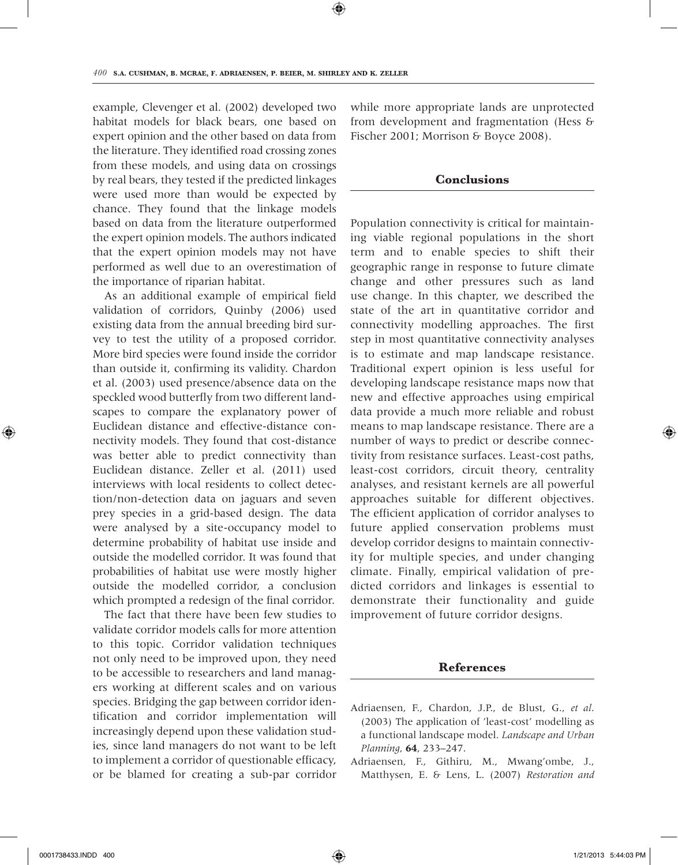example, Clevenger et al. (2002) developed two habitat models for black bears, one based on expert opinion and the other based on data from the literature. They identified road crossing zones from these models, and using data on crossings by real bears, they tested if the predicted linkages were used more than would be expected by chance. They found that the linkage models based on data from the literature outperformed the expert opinion models. The authors indicated that the expert opinion models may not have performed as well due to an overestimation of the importance of riparian habitat.

As an additional example of empirical field validation of corridors, Quinby (2006) used existing data from the annual breeding bird survey to test the utility of a proposed corridor. More bird species were found inside the corridor than outside it, confirming its validity. Chardon et al. (2003) used presence/absence data on the speckled wood butterfly from two different landscapes to compare the explanatory power of Euclidean distance and effective-distance connectivity models. They found that cost-distance was better able to predict connectivity than Euclidean distance. Zeller et al. (2011) used interviews with local residents to collect detection/non-detection data on jaguars and seven prey species in a grid-based design. The data were analysed by a site-occupancy model to determine probability of habitat use inside and outside the modelled corridor. It was found that probabilities of habitat use were mostly higher outside the modelled corridor, a conclusion which prompted a redesign of the final corridor.

The fact that there have been few studies to validate corridor models calls for more attention to this topic. Corridor validation techniques not only need to be improved upon, they need to be accessible to researchers and land managers working at different scales and on various species. Bridging the gap between corridor identification and corridor implementation will increasingly depend upon these validation studies, since land managers do not want to be left to implement a corridor of questionable efficacy, or be blamed for creating a sub-par corridor while more appropriate lands are unprotected from development and fragmentation (Hess & Fischer 2001; Morrison & Boyce 2008).

# **Conclusions**

Population connectivity is critical for maintaining viable regional populations in the short term and to enable species to shift their geographic range in response to future climate change and other pressures such as land use change. In this chapter, we described the state of the art in quantitative corridor and connectivity modelling approaches. The first step in most quantitative connectivity analyses is to estimate and map landscape resistance. Traditional expert opinion is less useful for developing landscape resistance maps now that new and effective approaches using empirical data provide a much more reliable and robust means to map landscape resistance. There are a number of ways to predict or describe connectivity from resistance surfaces. Least-cost paths, least-cost corridors, circuit theory, centrality analyses, and resistant kernels are all powerful approaches suitable for different objectives. The efficient application of corridor analyses to future applied conservation problems must develop corridor designs to maintain connectivity for multiple species, and under changing climate. Finally, empirical validation of predicted corridors and linkages is essential to demonstrate their functionality and guide improvement of future corridor designs.

#### **References**

- Adriaensen, F., Chardon, J.P., de Blust, G., *et al*. (2003) The application of 'least-cost' modelling as a functional landscape model. *Landscape and Urban Planning*, **64**, 233–247.
- Adriaensen, F., Githiru, M., Mwang'ombe, J., Matthysen, E. & Lens, L. (2007) *Restoration and*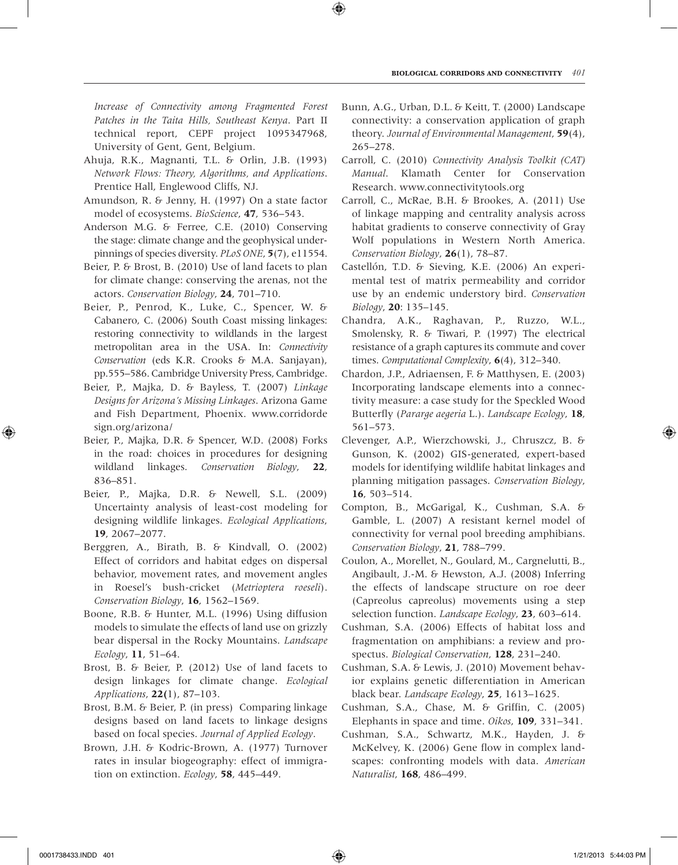*Increase of Connectivity among Fragmented Forest Patches in the Taita Hills, Southeast Kenya*. Part II technical report, CEPF project 1095347968, University of Gent, Gent, Belgium.

- Ahuja, R.K., Magnanti, T.L. & Orlin, J.B. (1993) *Network Flows: Theory, Algorithms, and Applications*. Prentice Hall, Englewood Cliffs, NJ.
- Amundson, R. & Jenny, H. (1997) On a state factor model of ecosystems. *BioScience*, **47**, 536–543.
- Anderson M.G. & Ferree, C.E. (2010) Conserving the stage: climate change and the geophysical underpinnings of species diversity. *PLoS ONE*, **5**(7), e11554.
- Beier, P. & Brost, B. (2010) Use of land facets to plan for climate change: conserving the arenas, not the actors. *Conservation Biology*, **24**, 701–710.
- Beier, P., Penrod, K., Luke, C., Spencer, W. & Cabanero, C. (2006) South Coast missing linkages: restoring connectivity to wildlands in the largest metropolitan area in the USA. In: *Connectivity Conservation* (eds K.R. Crooks & M.A. Sanjayan), pp.555–586. Cambridge University Press, Cambridge.
- Beier, P., Majka, D. & Bayless, T. (2007) *Linkage Designs for Arizona's Missing Linkages*. Arizona Game and Fish Department, Phoenix. www.corridorde sign.org/arizona/
- Beier, P., Majka, D.R. & Spencer, W.D. (2008) Forks in the road: choices in procedures for designing wildland linkages. *Conservation Biology*, **22**, 836–851.
- Beier, P., Majka, D.R. & Newell, S.L. (2009) Uncertainty analysis of least-cost modeling for designing wildlife linkages. *Ecological Applications*, **19**, 2067–2077.
- Berggren, A., Birath, B. & Kindvall, O. (2002) Effect of corridors and habitat edges on dispersal behavior, movement rates, and movement angles in Roesel's bush-cricket (*Metrioptera roeseli*). *Conservation Biology*, **16**, 1562–1569.
- Boone, R.B. & Hunter, M.L. (1996) Using diffusion models to simulate the effects of land use on grizzly bear dispersal in the Rocky Mountains. *Landscape Ecology*, **11**, 51–64.
- Brost, B. & Beier, P. (2012) Use of land facets to design linkages for climate change. *Ecological Applications*, **22(**1), 87–103.
- Brost, B.M. & Beier, P. (in press) Comparing linkage designs based on land facets to linkage designs based on focal species. *Journal of Applied Ecology*.
- Brown, J.H. & Kodric-Brown, A. (1977) Turnover rates in insular biogeography: effect of immigration on extinction. *Ecology*, **58**, 445–449.
- Bunn, A.G., Urban, D.L. & Keitt, T. (2000) Landscape connectivity: a conservation application of graph theory. *Journal of Environmental Management*, **59**(4), 265–278.
- Carroll, C. (2010) *Connectivity Analysis Toolkit (CAT) Manual*. Klamath Center for Conservation Research. www.connectivitytools.org
- Carroll, C., McRae, B.H. & Brookes, A. (2011) Use of linkage mapping and centrality analysis across habitat gradients to conserve connectivity of Gray Wolf populations in Western North America. *Conservation Biology*, **26**(1), 78–87.
- Castellón, T.D. & Sieving, K.E. (2006) An experimental test of matrix permeability and corridor use by an endemic understory bird. *Conservation Biology*, **20**: 135–145.
- Chandra, A.K., Raghavan, P., Ruzzo, W.L., Smolensky, R. & Tiwari, P. (1997) The electrical resistance of a graph captures its commute and cover times. *Computational Complexity*, **6**(4), 312–340.
- Chardon, J.P., Adriaensen, F. & Matthysen, E. (2003) Incorporating landscape elements into a connectivity measure: a case study for the Speckled Wood Butterfly (*Pararge aegeria* L.). *Landscape Ecology*, **18**, 561–573.
- Clevenger, A.P., Wierzchowski, J., Chruszcz, B. & Gunson, K. (2002) GIS-generated, expert-based models for identifying wildlife habitat linkages and planning mitigation passages. *Conservation Biology*, **16**, 503–514.
- Compton, B., McGarigal, K., Cushman, S.A. & Gamble, L. (2007) A resistant kernel model of connectivity for vernal pool breeding amphibians. *Conservation Biology*, **21**, 788–799.
- Coulon, A., Morellet, N., Goulard, M., Cargnelutti, B., Angibault, J.-M. & Hewston, A.J. (2008) Inferring the effects of landscape structure on roe deer (Capreolus capreolus) movements using a step selection function. *Landscape Ecology*, **23**, 603–614.
- Cushman, S.A. (2006) Effects of habitat loss and fragmentation on amphibians: a review and prospectus. *Biological Conservation*, **128**, 231–240.
- Cushman, S.A. & Lewis, J. (2010) Movement behavior explains genetic differentiation in American black bear. *Landscape Ecology*, **25**, 1613–1625.
- Cushman, S.A., Chase, M. & Griffin, C. (2005) Elephants in space and time. *Oikos*, **109**, 331–341.
- Cushman, S.A., Schwartz, M.K., Hayden, J. & McKelvey, K. (2006) Gene flow in complex landscapes: confronting models with data. *American Naturalist*, **168**, 486–499.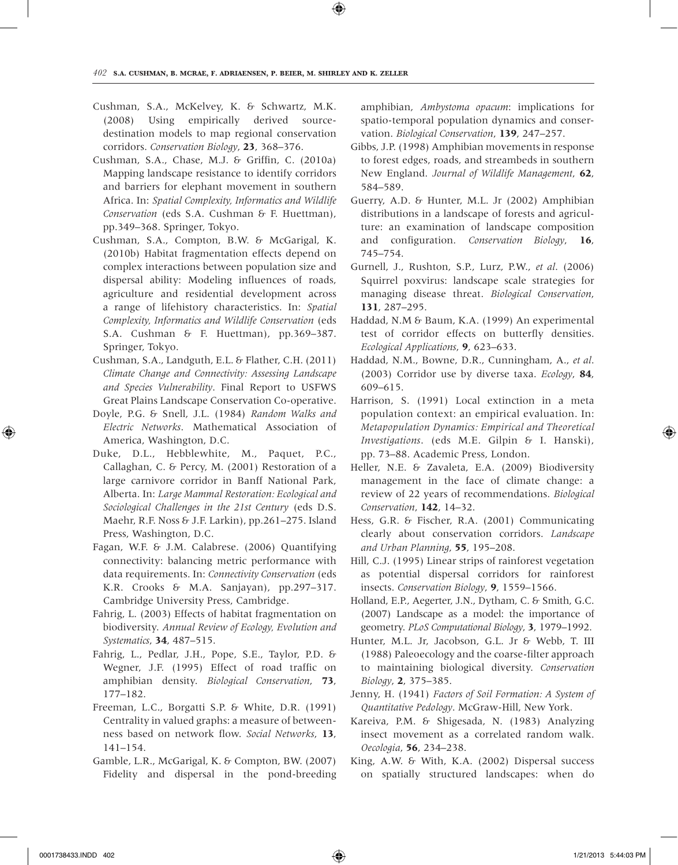- Cushman, S.A., McKelvey, K. & Schwartz, M.K. (2008) Using empirically derived sourcedestination models to map regional conservation corridors. *Conservation Biology*, **23**, 368–376.
- Cushman, S.A., Chase, M.J. & Griffin, C. (2010a) Mapping landscape resistance to identify corridors and barriers for elephant movement in southern Africa. In: *Spatial Complexity, Informatics and Wildlife Conservation* (eds S.A. Cushman & F. Huettman), pp.349–368. Springer, Tokyo.
- Cushman, S.A., Compton, B.W. & McGarigal, K. (2010b) Habitat fragmentation effects depend on complex interactions between population size and dispersal ability: Modeling influences of roads, agriculture and residential development across a range of lifehistory characteristics. In: *Spatial Complexity, Informatics and Wildlife Conservation* (eds S.A. Cushman & F. Huettman), pp.369–387. Springer, Tokyo.
- Cushman, S.A., Landguth, E.L. & Flather, C.H. (2011) *Climate Change and Connectivity: Assessing Landscape and Species Vulnerability*. Final Report to USFWS Great Plains Landscape Conservation Co-operative.
- Doyle, P.G. & Snell, J.L. (1984) *Random Walks and Electric Networks*. Mathematical Association of America, Washington, D.C.
- Duke, D.L., Hebblewhite, M., Paquet, P.C., Callaghan, C. & Percy, M. (2001) Restoration of a large carnivore corridor in Banff National Park, Alberta. In: *Large Mammal Restoration: Ecological and Sociological Challenges in the 21st Century* (eds D.S. Maehr, R.F. Noss & J.F. Larkin), pp.261–275. Island Press, Washington, D.C.
- Fagan, W.F. & J.M. Calabrese. (2006) Quantifying connectivity: balancing metric performance with data requirements. In: *Connectivity Conservation* (eds K.R. Crooks & M.A. Sanjayan), pp.297–317. Cambridge University Press, Cambridge.
- Fahrig, L. (2003) Effects of habitat fragmentation on biodiversity. *Annual Review of Ecology, Evolution and Systematics*, **34**, 487–515.
- Fahrig, L., Pedlar, J.H., Pope, S.E., Taylor, P.D. & Wegner, J.F. (1995) Effect of road traffic on amphibian density. *Biological Conservation*, **73**, 177–182.
- Freeman, L.C., Borgatti S.P. & White, D.R. (1991) Centrality in valued graphs: a measure of betweenness based on network flow. *Social Networks*, **13**, 141–154.
- Gamble, L.R., McGarigal, K. & Compton, BW. (2007) Fidelity and dispersal in the pond-breeding

amphibian, *Ambystoma opacum*: implications for spatio-temporal population dynamics and conservation. *Biological Conservation*, **139**, 247–257.

- Gibbs, J.P. (1998) Amphibian movements in response to forest edges, roads, and streambeds in southern New England. *Journal of Wildlife Management*, **62**, 584–589.
- Guerry, A.D. & Hunter, M.L. Jr (2002) Amphibian distributions in a landscape of forests and agriculture: an examination of landscape composition and configuration. *Conservation Biology*, **16**, 745–754.
- Gurnell, J., Rushton, S.P., Lurz, P.W., *et al*. (2006) Squirrel poxvirus: landscape scale strategies for managing disease threat. *Biological Conservation*, **131**, 287–295.
- Haddad, N.M & Baum, K.A. (1999) An experimental test of corridor effects on butterfly densities. *Ecological Applications*, **9**, 623–633.
- Haddad, N.M., Bowne, D.R., Cunningham, A., *et al*. (2003) Corridor use by diverse taxa. *Ecology*, **84**, 609–615.
- Harrison, S. (1991) Local extinction in a meta population context: an empirical evaluation. In: *Metapopulation Dynamics: Empirical and Theoretical Investigations*. (eds M.E. Gilpin & I. Hanski), pp. 73–88. Academic Press, London.
- Heller, N.E. & Zavaleta, E.A. (2009) Biodiversity management in the face of climate change: a review of 22 years of recommendations. *Biological Conservation*, **142**, 14–32.
- Hess, G.R. & Fischer, R.A. (2001) Communicating clearly about conservation corridors. *Landscape and Urban Planning*, **55**, 195–208.
- Hill, C.J. (1995) Linear strips of rainforest vegetation as potential dispersal corridors for rainforest insects. *Conservation Biology*, **9**, 1559–1566.
- Holland, E.P., Aegerter, J.N., Dytham, C. & Smith, G.C. (2007) Landscape as a model: the importance of geometry. *PLoS Computational Biology*, **3**, 1979–1992.
- Hunter, M.L. Jr, Jacobson, G.L. Jr & Webb, T. III (1988) Paleoecology and the coarse-filter approach to maintaining biological diversity. *Conservation Biology*, **2**, 375–385.
- Jenny, H. (1941) *Factors of Soil Formation: A System of Quantitative Pedology*. McGraw-Hill, New York.
- Kareiva, P.M. & Shigesada, N. (1983) Analyzing insect movement as a correlated random walk. *Oecologia*, **56**, 234–238.
- King, A.W. & With, K.A. (2002) Dispersal success on spatially structured landscapes: when do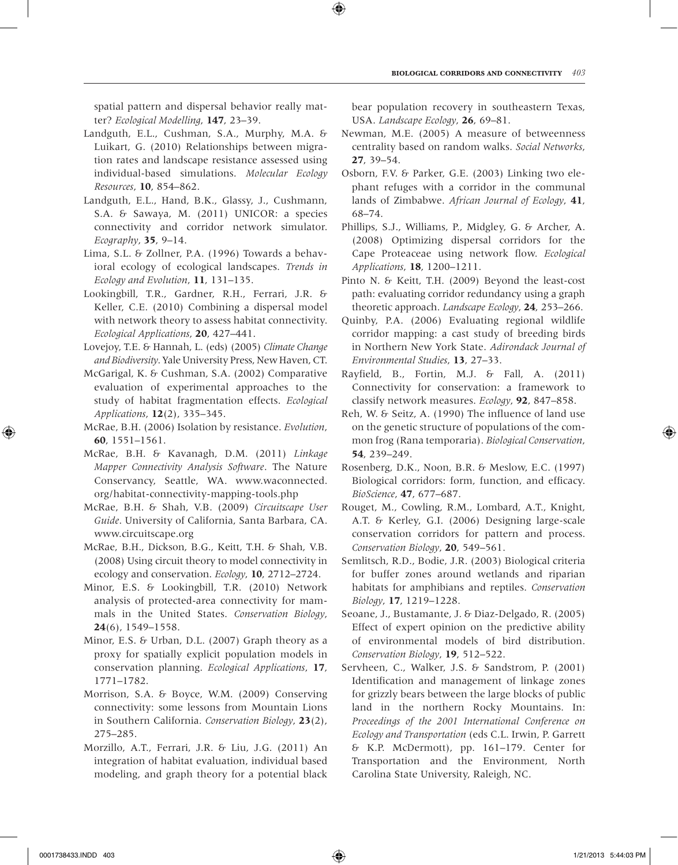spatial pattern and dispersal behavior really matter? *Ecological Modelling*, **147**, 23–39.

- Landguth, E.L., Cushman, S.A., Murphy, M.A. & Luikart, G. (2010) Relationships between migration rates and landscape resistance assessed using individual-based simulations. *Molecular Ecology Resources*, **10**, 854–862.
- Landguth, E.L., Hand, B.K., Glassy, J., Cushmann, S.A. & Sawaya, M. (2011) UNICOR: a species connectivity and corridor network simulator. *Ecography*, **35**, 9–14.
- Lima, S.L. & Zollner, P.A. (1996) Towards a behavioral ecology of ecological landscapes. *Trends in Ecology and Evolution*, **11**, 131–135.
- Lookingbill, T.R., Gardner, R.H., Ferrari, J.R. & Keller, C.E. (2010) Combining a dispersal model with network theory to assess habitat connectivity. *Ecological Applications*, **20**, 427–441.
- Lovejoy, T.E. & Hannah, L. (eds) (2005) *Climate Change*  and Biodiversity. Yale University Press, New Haven, CT.
- McGarigal, K. & Cushman, S.A. (2002) Comparative evaluation of experimental approaches to the study of habitat fragmentation effects. *Ecological Applications*, **12**(2), 335–345.
- McRae, B.H. (2006) Isolation by resistance. *Evolution*, **60**, 1551–1561.
- McRae, B.H. & Kavanagh, D.M. (2011) *Linkage Mapper Connectivity Analysis Software*. The Nature Conservancy, Seattle, WA. www.waconnected. org/habitat-connectivity-mapping-tools.php
- McRae, B.H. & Shah, V.B. (2009) *Circuitscape User Guide*. University of California, Santa Barbara, CA. www.circuitscape.org
- McRae, B.H., Dickson, B.G., Keitt, T.H. & Shah, V.B. (2008) Using circuit theory to model connectivity in ecology and conservation. *Ecology*, **10**, 2712–2724.
- Minor, E.S. & Lookingbill, T.R. (2010) Network analysis of protected-area connectivity for mammals in the United States. *Conservation Biology*, **24**(6), 1549–1558.
- Minor, E.S. & Urban, D.L. (2007) Graph theory as a proxy for spatially explicit population models in conservation planning. *Ecological Applications*, **17**, 1771–1782.
- Morrison, S.A. & Boyce, W.M. (2009) Conserving connectivity: some lessons from Mountain Lions in Southern California. *Conservation Biology*, **23**(2), 275–285.
- Morzillo, A.T., Ferrari, J.R. & Liu, J.G. (2011) An integration of habitat evaluation, individual based modeling, and graph theory for a potential black

bear population recovery in southeastern Texas, USA. *Landscape Ecology*, **26**, 69–81.

- Newman, M.E. (2005) A measure of betweenness centrality based on random walks. *Social Networks*, **27**, 39–54.
- Osborn, F.V. & Parker, G.E. (2003) Linking two elephant refuges with a corridor in the communal lands of Zimbabwe. *African Journal of Ecology*, **41**, 68–74.
- Phillips, S.J., Williams, P., Midgley, G. & Archer, A. (2008) Optimizing dispersal corridors for the Cape Proteaceae using network flow. *Ecological Applications*, **18**, 1200–1211.
- Pinto N. & Keitt, T.H. (2009) Beyond the least-cost path: evaluating corridor redundancy using a graph theoretic approach. *Landscape Ecology*, **24**, 253–266.
- Quinby, P.A. (2006) Evaluating regional wildlife corridor mapping: a cast study of breeding birds in Northern New York State. *Adirondack Journal of Environmental Studies*, **13**, 27–33.
- Rayfield, B., Fortin, M.J. & Fall, A. (2011) Connectivity for conservation: a framework to classify network measures. *Ecology*, **92**, 847–858.
- Reh, W. & Seitz, A. (1990) The influence of land use on the genetic structure of populations of the common frog (Rana temporaria). *Biological Conservation*, **54**, 239–249.
- Rosenberg, D.K., Noon, B.R. & Meslow, E.C. (1997) Biological corridors: form, function, and efficacy. *BioScience*, **47**, 677–687.
- Rouget, M., Cowling, R.M., Lombard, A.T., Knight, A.T. & Kerley, G.I. (2006) Designing large-scale conservation corridors for pattern and process. *Conservation Biology*, **20**, 549–561.
- Semlitsch, R.D., Bodie, J.R. (2003) Biological criteria for buffer zones around wetlands and riparian habitats for amphibians and reptiles. *Conservation Biology*, **17**, 1219–1228.
- Seoane, J., Bustamante, J. & Diaz-Delgado, R. (2005) Effect of expert opinion on the predictive ability of environmental models of bird distribution. *Conservation Biology*, **19**, 512–522.
- Servheen, C., Walker, J.S. & Sandstrom, P. (2001) Identification and management of linkage zones for grizzly bears between the large blocks of public land in the northern Rocky Mountains. In: *Proceedings of the 2001 International Conference on Ecology and Transportation* (eds C.L. Irwin, P. Garrett & K.P. McDermott), pp. 161–179. Center for Transportation and the Environment, North Carolina State University, Raleigh, NC.